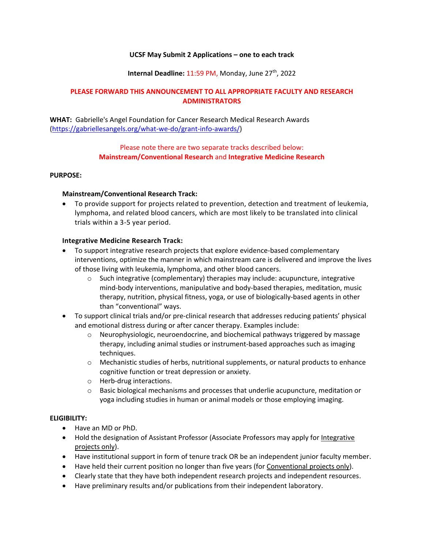#### **UCSF May Submit 2 Applications – one to each track**

### **Internal Deadline: 11:59 PM, Monday, June 27<sup>th</sup>, 2022**

## **PLEASE FORWARD THIS ANNOUNCEMENT TO ALL APPROPRIATE FACULTY AND RESEARCH ADMINISTRATORS**

**WHAT:** Gabrielle's Angel Foundation for Cancer Research Medical Research Awards [\(https://gabriellesangels.org/what-we-do/grant-info-awards/\)](https://gabriellesangels.org/what-we-do/grant-info-awards/)

## Please note there are two separate tracks described below: **Mainstream/Conventional Research** and **Integrative Medicine Research**

#### **PURPOSE:**

### **Mainstream/Conventional Research Track:**

 To provide support for projects related to prevention, detection and treatment of leukemia, lymphoma, and related blood cancers, which are most likely to be translated into clinical trials within a 3-5 year period.

### **Integrative Medicine Research Track:**

- To support integrative research projects that explore evidence-based complementary interventions, optimize the manner in which mainstream care is delivered and improve the lives of those living with leukemia, lymphoma, and other blood cancers.
	- $\circ$  Such integrative (complementary) therapies may include: acupuncture, integrative mind-body interventions, manipulative and body-based therapies, meditation, music therapy, nutrition, physical fitness, yoga, or use of biologically-based agents in other than "conventional" ways.
- To support clinical trials and/or pre-clinical research that addresses reducing patients' physical and emotional distress during or after cancer therapy. Examples include:
	- $\circ$  Neurophysiologic, neuroendocrine, and biochemical pathways triggered by massage therapy, including animal studies or instrument-based approaches such as imaging techniques.
	- $\circ$  Mechanistic studies of herbs, nutritional supplements, or natural products to enhance cognitive function or treat depression or anxiety.
	- o Herb-drug interactions.
	- $\circ$  Basic biological mechanisms and processes that underlie acupuncture, meditation or yoga including studies in human or animal models or those employing imaging.

## **ELIGIBILITY:**

- Have an MD or PhD.
- Hold the designation of Assistant Professor (Associate Professors may apply for Integrative projects only).
- Have institutional support in form of tenure track OR be an independent junior faculty member.
- Have held their current position no longer than five years (for Conventional projects only).
- Clearly state that they have both independent research projects and independent resources.
- Have preliminary results and/or publications from their independent laboratory.